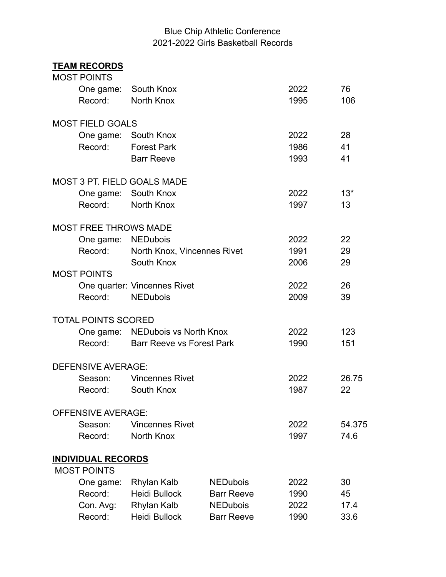## Blue Chip Athletic Conference 2021-2022 Girls Basketball Records

## **TEAM RECORDS**

| <b>MOST POINTS</b>           |                                    |                   |      |        |
|------------------------------|------------------------------------|-------------------|------|--------|
| One game:                    | South Knox                         |                   | 2022 | 76     |
| Record:                      | North Knox                         |                   | 1995 | 106    |
| <b>MOST FIELD GOALS</b>      |                                    |                   |      |        |
| One game:                    | South Knox                         |                   | 2022 | 28     |
| Record:                      | <b>Forest Park</b>                 |                   | 1986 | 41     |
|                              | <b>Barr Reeve</b>                  |                   | 1993 | 41     |
|                              | <b>MOST 3 PT. FIELD GOALS MADE</b> |                   |      |        |
|                              | One game: South Knox               |                   | 2022 | $13*$  |
| Record:                      | North Knox                         |                   | 1997 | 13     |
| <b>MOST FREE THROWS MADE</b> |                                    |                   |      |        |
| One game:                    | <b>NEDubois</b>                    |                   | 2022 | 22     |
| Record:                      | North Knox, Vincennes Rivet        |                   | 1991 | 29     |
|                              | South Knox                         |                   | 2006 | 29     |
| <b>MOST POINTS</b>           |                                    |                   |      |        |
|                              | One quarter: Vincennes Rivet       |                   | 2022 | 26     |
| Record:                      | <b>NEDubois</b>                    |                   | 2009 | 39     |
| <b>TOTAL POINTS SCORED</b>   |                                    |                   |      |        |
|                              | One game: NEDubois vs North Knox   |                   | 2022 | 123    |
| Record:                      | <b>Barr Reeve vs Forest Park</b>   |                   | 1990 | 151    |
| <b>DEFENSIVE AVERAGE:</b>    |                                    |                   |      |        |
| Season:                      | <b>Vincennes Rivet</b>             |                   | 2022 | 26.75  |
| Record:                      | South Knox                         |                   | 1987 | 22     |
| <b>OFFENSIVE AVERAGE:</b>    |                                    |                   |      |        |
| Season:                      | <b>Vincennes Rivet</b>             |                   | 2022 | 54.375 |
| Record:                      | North Knox                         |                   | 1997 | 74.6   |
| <b>INDIVIDUAL RECORDS</b>    |                                    |                   |      |        |
| <b>MOST POINTS</b>           |                                    |                   |      |        |
| One game:                    | Rhylan Kalb                        | <b>NEDubois</b>   | 2022 | 30     |
| Record:                      | <b>Heidi Bullock</b>               | <b>Barr Reeve</b> | 1990 | 45     |
| Con. Avg:                    | Rhylan Kalb                        | <b>NEDubois</b>   | 2022 | 17.4   |
| Record:                      | <b>Heidi Bullock</b>               | <b>Barr Reeve</b> | 1990 | 33.6   |